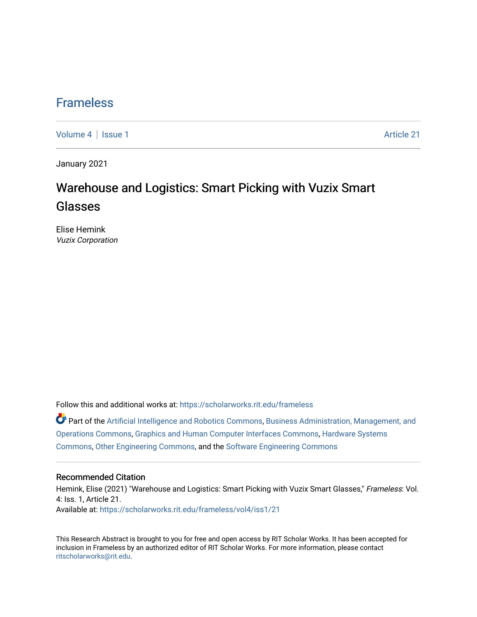### **Frameless**

[Volume 4](https://scholarworks.rit.edu/frameless/vol4) | [Issue 1](https://scholarworks.rit.edu/frameless/vol4/iss1) Article 21

January 2021

## Warehouse and Logistics: Smart Picking with Vuzix Smart Glasses

Elise Hemink Vuzix Corporation

Follow this and additional works at: [https://scholarworks.rit.edu/frameless](https://scholarworks.rit.edu/frameless?utm_source=scholarworks.rit.edu%2Fframeless%2Fvol4%2Fiss1%2F21&utm_medium=PDF&utm_campaign=PDFCoverPages)

Part of the [Artificial Intelligence and Robotics Commons](https://network.bepress.com/hgg/discipline/143?utm_source=scholarworks.rit.edu%2Fframeless%2Fvol4%2Fiss1%2F21&utm_medium=PDF&utm_campaign=PDFCoverPages), [Business Administration, Management, and](https://network.bepress.com/hgg/discipline/623?utm_source=scholarworks.rit.edu%2Fframeless%2Fvol4%2Fiss1%2F21&utm_medium=PDF&utm_campaign=PDFCoverPages) [Operations Commons](https://network.bepress.com/hgg/discipline/623?utm_source=scholarworks.rit.edu%2Fframeless%2Fvol4%2Fiss1%2F21&utm_medium=PDF&utm_campaign=PDFCoverPages), [Graphics and Human Computer Interfaces Commons](https://network.bepress.com/hgg/discipline/146?utm_source=scholarworks.rit.edu%2Fframeless%2Fvol4%2Fiss1%2F21&utm_medium=PDF&utm_campaign=PDFCoverPages), [Hardware Systems](https://network.bepress.com/hgg/discipline/263?utm_source=scholarworks.rit.edu%2Fframeless%2Fvol4%2Fiss1%2F21&utm_medium=PDF&utm_campaign=PDFCoverPages)  [Commons](https://network.bepress.com/hgg/discipline/263?utm_source=scholarworks.rit.edu%2Fframeless%2Fvol4%2Fiss1%2F21&utm_medium=PDF&utm_campaign=PDFCoverPages), [Other Engineering Commons](https://network.bepress.com/hgg/discipline/315?utm_source=scholarworks.rit.edu%2Fframeless%2Fvol4%2Fiss1%2F21&utm_medium=PDF&utm_campaign=PDFCoverPages), and the [Software Engineering Commons](https://network.bepress.com/hgg/discipline/150?utm_source=scholarworks.rit.edu%2Fframeless%2Fvol4%2Fiss1%2F21&utm_medium=PDF&utm_campaign=PDFCoverPages) 

#### Recommended Citation

Hemink, Elise (2021) "Warehouse and Logistics: Smart Picking with Vuzix Smart Glasses," Frameless: Vol. 4: Iss. 1, Article 21. Available at: [https://scholarworks.rit.edu/frameless/vol4/iss1/21](https://scholarworks.rit.edu/frameless/vol4/iss1/21?utm_source=scholarworks.rit.edu%2Fframeless%2Fvol4%2Fiss1%2F21&utm_medium=PDF&utm_campaign=PDFCoverPages) 

This Research Abstract is brought to you for free and open access by RIT Scholar Works. It has been accepted for inclusion in Frameless by an authorized editor of RIT Scholar Works. For more information, please contact [ritscholarworks@rit.edu](mailto:ritscholarworks@rit.edu).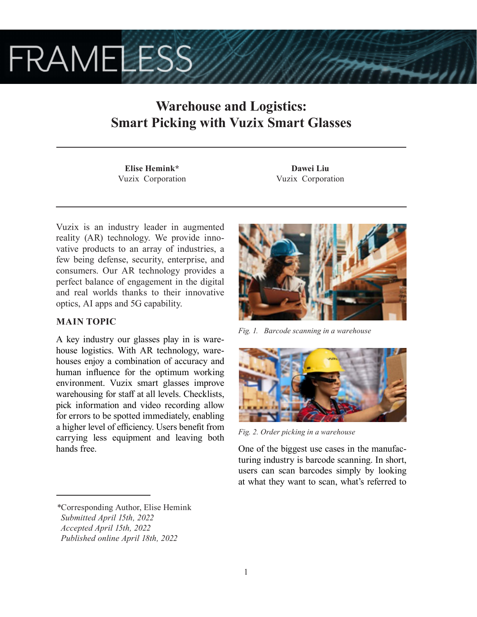# **FRAMELESS**

## **Warehouse and Logistics: Smart Picking with Vuzix Smart Glasses**

**Elise Hemink\*** Vuzix Corporation

**Dawei Liu** Vuzix Corporation

Vuzix is an industry leader in augmented reality (AR) technology. We provide innovative products to an array of industries, a few being defense, security, enterprise, and consumers. Our AR technology provides a perfect balance of engagement in the digital and real worlds thanks to their innovative optics, AI apps and 5G capability.

### **MAIN TOPIC**

A key industry our glasses play in is warehouse logistics. With AR technology, warehouses enjoy a combination of accuracy and human influence for the optimum working environment. Vuzix smart glasses improve warehousing for staff at all levels. Checklists, pick information and video recording allow for errors to be spotted immediately, enabling a higher level of efficiency. Users benefit from carrying less equipment and leaving both hands free.



*Fig. 1. Barcode scanning in a warehouse*



*Fig. 2. Order picking in a warehouse*

One of the biggest use cases in the manufacturing industry is barcode scanning. In short, users can scan barcodes simply by looking at what they want to scan, what's referred to

*<sup>\*</sup>*Corresponding Author, Elise Hemink  *Submitted April 15th, 2022 Accepted April 15th, 2022*

*Published online April 18th, 2022*